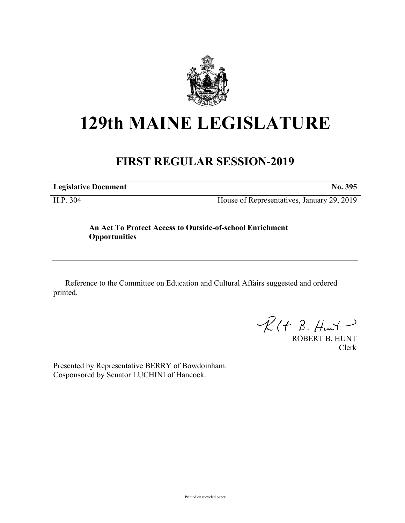

## **129th MAINE LEGISLATURE**

## **FIRST REGULAR SESSION-2019**

**Legislative Document No. 395**

H.P. 304 House of Representatives, January 29, 2019

## **An Act To Protect Access to Outside-of-school Enrichment Opportunities**

Reference to the Committee on Education and Cultural Affairs suggested and ordered printed.

 $R(H B. H<sub>un</sub>+)$ 

ROBERT B. HUNT Clerk

Presented by Representative BERRY of Bowdoinham. Cosponsored by Senator LUCHINI of Hancock.